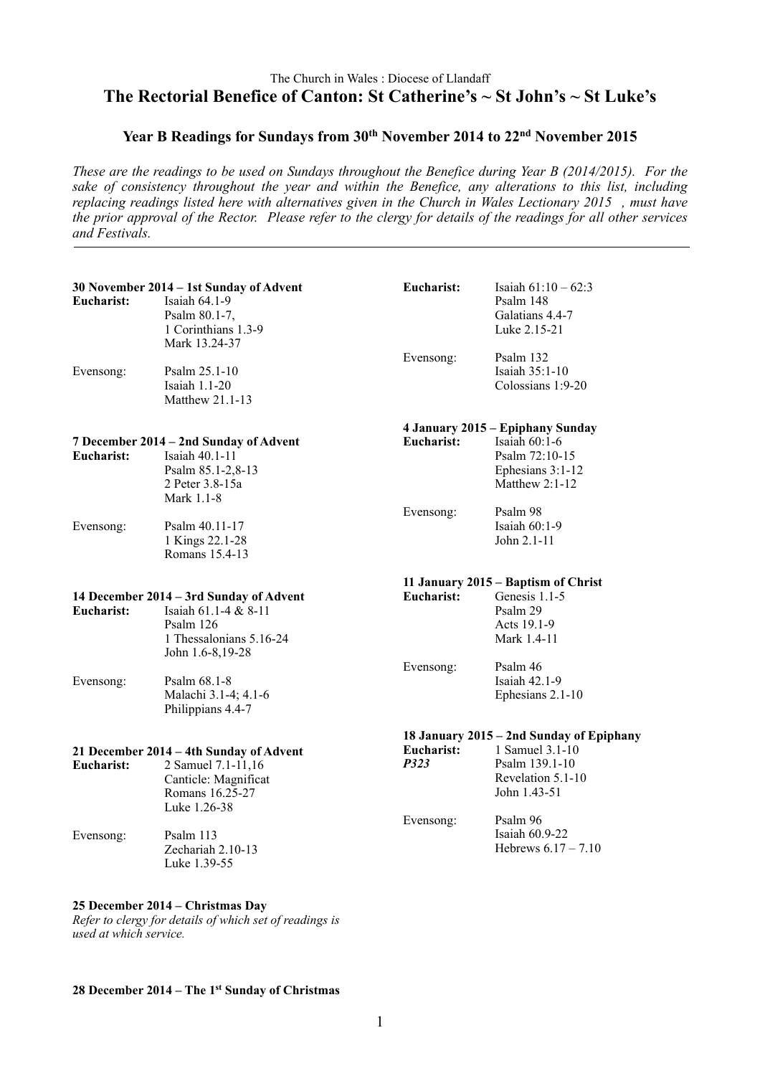## The Church in Wales : Diocese of Llandaff **The Rectorial Benefice of Canton: St Catherine's ~ St John's ~ St Luke's**

## Year B Readings for Sundays from 30<sup>th</sup> November 2014 to 22<sup>nd</sup> November 2015

*These are the readings to be used on Sundays throughout the Benefice during Year B (2014/2015). For the sake of consistency throughout the year and within the Benefice, any alterations to this list, including replacing readings listed here with alternatives given in the Church in Wales Lectionary 2015 , must have the prior approval of the Rector. Please refer to the clergy for details of the readings for all other services and Festivals.*

|            | 30 November 2014 - 1st Sunday of Advent                                                                                     | <b>Eucharist:</b>  | Isaiah $61:10 - 62:3$                                                     |
|------------|-----------------------------------------------------------------------------------------------------------------------------|--------------------|---------------------------------------------------------------------------|
| Eucharist: | Isaiah 64.1-9<br>Psalm 80.1-7,<br>1 Corinthians 1.3-9<br>Mark 13.24-37                                                      |                    | Psalm 148<br>Galatians 4.4-7<br>Luke 2.15-21                              |
| Evensong:  | Psalm 25.1-10<br>Isaiah 1.1-20<br>Matthew 21.1-13                                                                           | Evensong:          | Psalm 132<br>Isaiah 35:1-10<br>Colossians 1:9-20                          |
|            |                                                                                                                             |                    | 4 January 2015 - Epiphany Sunday                                          |
| Eucharist: | 7 December 2014 - 2nd Sunday of Advent<br>Isaiah 40.1-11<br>Psalm 85.1-2,8-13<br>2 Peter 3.8-15a<br>Mark 1.1-8              | Eucharist:         | Isaiah $60:1-6$<br>Psalm 72:10-15<br>Ephesians $3:1-12$<br>Matthew 2:1-12 |
| Evensong:  | Psalm 40.11-17<br>1 Kings 22.1-28<br>Romans 15.4-13                                                                         | Evensong:          | Psalm 98<br>Isaiah 60:1-9<br>John 2.1-11                                  |
|            |                                                                                                                             |                    | 11 January 2015 – Baptism of Christ                                       |
| Eucharist: | 14 December 2014 - 3rd Sunday of Advent<br>Isaiah 61.1-4 & 8-11<br>Psalm 126<br>1 Thessalonians 5.16-24<br>John 1.6-8,19-28 | Eucharist:         | Genesis 1.1-5<br>Psalm 29<br>Acts 19.1-9<br>Mark 1.4-11                   |
| Evensong:  | Psalm 68.1-8<br>Malachi 3.1-4; 4.1-6<br>Philippians 4.4-7                                                                   | Evensong:          | Psalm 46<br>Isaiah 42.1-9<br>Ephesians 2.1-10                             |
|            |                                                                                                                             |                    | 18 January 2015 – 2nd Sunday of Epiphany                                  |
| Eucharist: | 21 December 2014 - 4th Sunday of Advent<br>2 Samuel 7.1-11,16<br>Canticle: Magnificat<br>Romans 16.25-27<br>Luke 1.26-38    | Eucharist:<br>P323 | 1 Samuel 3.1-10<br>Psalm 139.1-10<br>Revelation 5.1-10<br>John 1.43-51    |
| Evensong:  | Psalm 113<br>Zechariah 2.10-13<br>Luke 1.39-55                                                                              | Evensong:          | Psalm 96<br>Isaiah 60.9-22<br>Hebrews $6.17 - 7.10$                       |
|            |                                                                                                                             |                    |                                                                           |

## **25 December 2014 – Christmas Day** *Refer to clergy for details of which set of readings is*

*used at which service.*

## **28 December 2014 – The 1st Sunday of Christmas**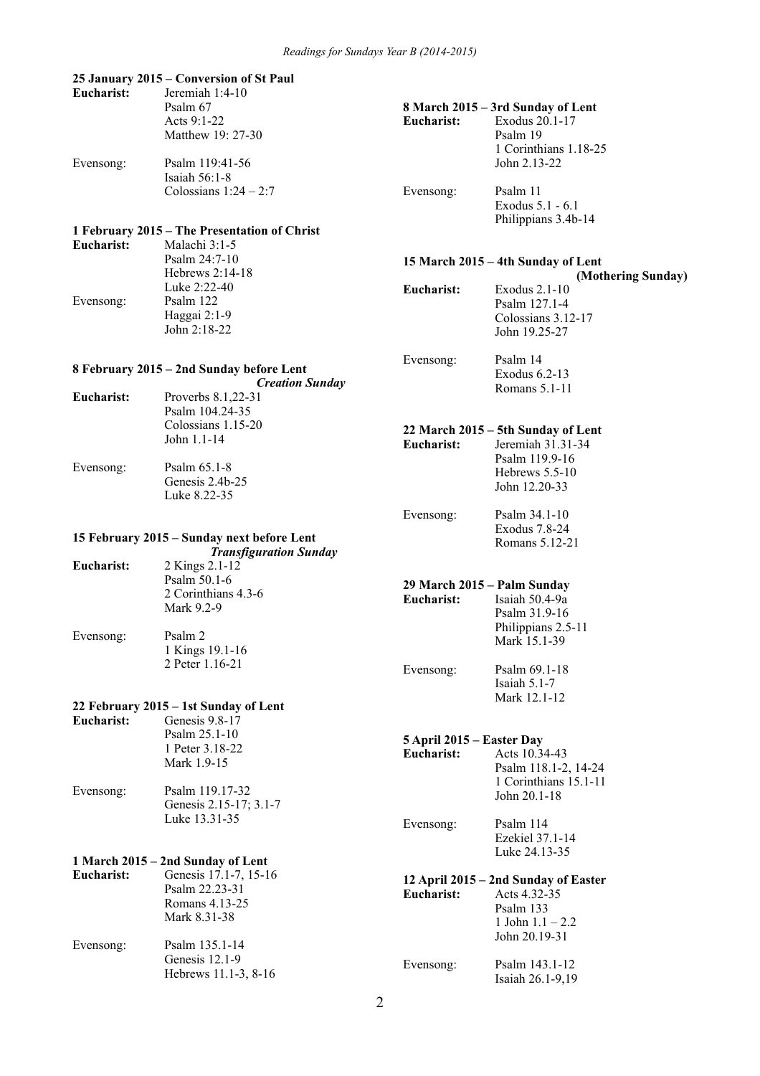#### **25 January 2015 – Conversion of St Paul**

| Eucharist: | Jeremiah $1:4-10$     |            |                                   |
|------------|-----------------------|------------|-----------------------------------|
|            | Psalm 67              |            | 8 March 2015 – 3rd Sunday of Lent |
|            | Acts $9:1-22$         | Eucharist: | Exodus 20.1-17                    |
|            | Matthew 19: 27-30     |            | Psalm 19                          |
|            |                       |            | 1 Corinthians 1.18-25             |
| Evensong:  | Psalm 119:41-56       |            | John 2.13-22                      |
|            | Isaiah $56:1-8$       |            |                                   |
|            | Colossians $1:24-2:7$ | Evensong:  | Psalm 11                          |
|            |                       |            | Exodus 5.1 - 6.1                  |

## **1 February 2015 – The Presentation of Christ**

| Eucharist: | Malachi $3:1-5$<br>Psalm $24:7-10$<br>Hebrews $2:14-18$         |            | 15 March 2015 – 4th Sunday of Lent<br>(Mothering Sunday)                |
|------------|-----------------------------------------------------------------|------------|-------------------------------------------------------------------------|
| Evensong:  | Luke $2:22-40$<br>Psalm 122<br>Haggai $2:1-9$<br>John $2:18-22$ | Eucharist: | Exodus $2.1-10$<br>Psalm 127.1-4<br>Colossians 3.12-17<br>John 19.25-27 |

Philippians 3.4b-14

Exodus 6.2-13 Romans 5.1-11

Psalm 119.9-16 Hebrews 5.5-10 John 12.20-33

Exodus 7.8-24 Romans 5.12-21

**Eucharist:** Isaiah 50.4-9a Psalm 31.9-16 Philippians 2.5-11 Mark 15.1-39

Isaiah 5.1-7 Mark 12.1-12

**22 March 2015 – 5th Sunday of Lent Eucharist:** Jeremiah 31.31-34

Evensong: Psalm 34.1-10

Evensong: Psalm 69.1-18

Evensong: Psalm 14

### **8 February 2015 – 2nd Sunday before Lent**

|            | <b>Creation Sunday</b> |
|------------|------------------------|
| Eucharist: | Proverbs 8.1,22-31     |
|            | Psalm 104.24-35        |
|            | Colossians 1.15-20     |
|            | John 1.1-14            |
|            |                        |
|            |                        |

Evensong: Psalm 65.1-8 Genesis 2.4b-25 Luke 8.22-35

#### **15 February 2015 – Sunday next before Lent** *Transfiguration Sunday*

|            | Transfiguration Sunaay |            |                             |
|------------|------------------------|------------|-----------------------------|
| Eucharist: | 2 Kings 2.1-12         |            |                             |
|            | Psalm $50.1-6$         |            | 29 March 2015 – Palm Sunday |
|            | 2 Corinthians 4.3-6    | Eucharist: | Isaiah 50.4-9a              |
|            | Mark 9.2-9             |            | Psalm 31.9-16               |
|            |                        |            | Philippians 2.5             |
| Evensong:  | Psalm 2                |            | Mark 15.1-39                |

1 Kings 19.1-16 2 Peter 1.16-21

#### **22 February 2015 – 1st Sunday of Lent**

**Eucharist:** Genesis 17.1-7, 15-16

| Eucharist: | Genesis 9.8-17<br>Psalm $25.1 - 10$                | 5 April 2015 – Easter Day |                                               |
|------------|----------------------------------------------------|---------------------------|-----------------------------------------------|
|            | 1 Peter 3.18-22<br>Mark 1.9-15                     | Eucharist:                | Acts 10.34-43<br>Psalm 118.1-2, 14-24         |
| Evensong:  | Psalm 119.17-32<br>Genesis 2.15-17; 3.1-7          |                           | 1 Corinthians 15.1-11<br>John 20.1-18         |
|            | Luke 13.31-35<br>1 March 2015 – 2nd Sunday of Lent | Evensong:                 | Psalm 114<br>Ezekiel 37.1-14<br>Luke 24.13-35 |
|            |                                                    |                           |                                               |

#### **12 April 2015 – 2nd Sunday of Easter**

|           | Psalm 22.23-31<br>Romans 4.13-25<br>Mark 8.31-38 | Eucharist: | 12.1<br>Acts 4.32-35<br>Psalm 133<br>1 John $1.1 - 2.2$<br>John 20.19-31 |
|-----------|--------------------------------------------------|------------|--------------------------------------------------------------------------|
| Evensong: | Psalm 135.1-14<br>Genesis $12.1-9$               | Evensong:  | Psalm 143.1-12                                                           |
|           | Hebrews 11.1-3, 8-16                             |            | Isaiah 26.1-9,19                                                         |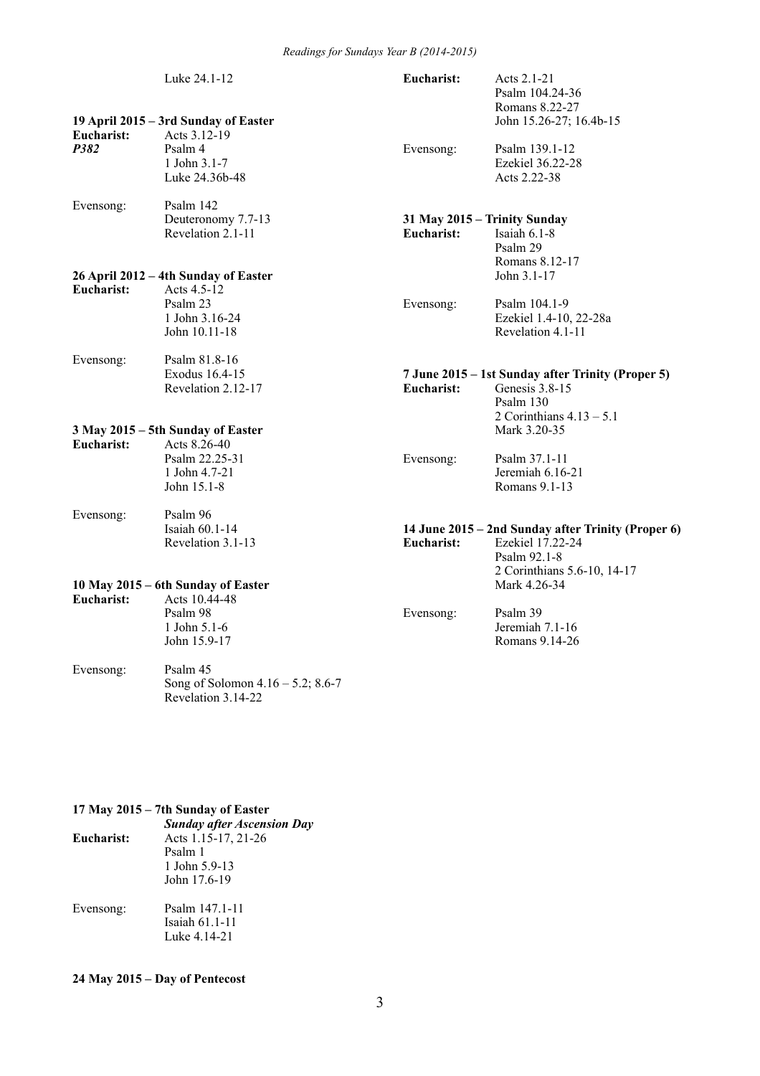|                    | Luke 24.1-12                                                                                         | Eucharist: | Acts $2.1-21$<br>Psalm 104.24-36<br>Romans 8.22-27                                                                    |
|--------------------|------------------------------------------------------------------------------------------------------|------------|-----------------------------------------------------------------------------------------------------------------------|
| Eucharist:<br>P382 | 19 April 2015 – 3rd Sunday of Easter<br>Acts 3.12-19<br>Psalm 4<br>1 John 3.1-7<br>Luke 24.36b-48    | Evensong:  | John 15.26-27; 16.4b-15<br>Psalm 139.1-12<br>Ezekiel 36.22-28<br>Acts 2.22-38                                         |
| Evensong:          | Psalm 142<br>Deuteronomy 7.7-13<br>Revelation 2.1-11                                                 | Eucharist: | 31 May 2015 - Trinity Sunday<br>Isaiah $6.1-8$<br>Psalm 29<br>Romans 8.12-17                                          |
| Eucharist:         | 26 April 2012 - 4th Sunday of Easter<br>Acts $4.5-12$<br>Psalm 23<br>1 John 3.16-24<br>John 10.11-18 | Evensong:  | John 3.1-17<br>Psalm 104.1-9<br>Ezekiel 1.4-10, 22-28a<br>Revelation 4.1-11                                           |
| Evensong:          | Psalm 81.8-16<br>Exodus 16.4-15<br>Revelation 2.12-17                                                | Eucharist: | 7 June 2015 – 1st Sunday after Trinity (Proper 5)<br>Genesis 3.8-15<br>Psalm 130<br>2 Corinthians $4.13 - 5.1$        |
| Eucharist:         | 3 May 2015 - 5th Sunday of Easter<br>Acts 8.26-40<br>Psalm 22.25-31<br>1 John 4.7-21<br>John 15.1-8  | Evensong:  | Mark 3.20-35<br>Psalm 37.1-11<br>Jeremiah $6.16-21$<br>Romans 9.1-13                                                  |
| Evensong:          | Psalm 96<br>Isaiah 60.1-14<br>Revelation 3.1-13                                                      | Eucharist: | 14 June 2015 - 2nd Sunday after Trinity (Proper 6)<br>Ezekiel 17.22-24<br>Psalm 92.1-8<br>2 Corinthians 5.6-10, 14-17 |
| Eucharist:         | 10 May 2015 – 6th Sunday of Easter<br>Acts 10.44-48<br>Psalm 98<br>1 John 5.1-6<br>John 15.9-17      | Evensong:  | Mark 4.26-34<br>Psalm 39<br>Jeremiah 7.1-16<br>Romans 9.14-26                                                         |
| Evensong:          | Psalm 45<br>Song of Solomon $4.16 - 5.2$ ; 8.6-7<br>Revelation 3.14-22                               |            |                                                                                                                       |

## **17 May 2015 – 7th Sunday of Easter**

|            | <b>Sunday after Ascension Day</b> |
|------------|-----------------------------------|
| Eucharist: | Acts 1.15-17, 21-26               |
|            | Psalm 1                           |
|            | 1 John 5.9-13                     |
|            | John 17.6-19                      |
| Evensong:  | Psalm 147.1-11                    |
|            | Isaiah 61.1-11                    |
|            | Luke 4.14-21                      |

# **24 May 2015 – Day of Pentecost**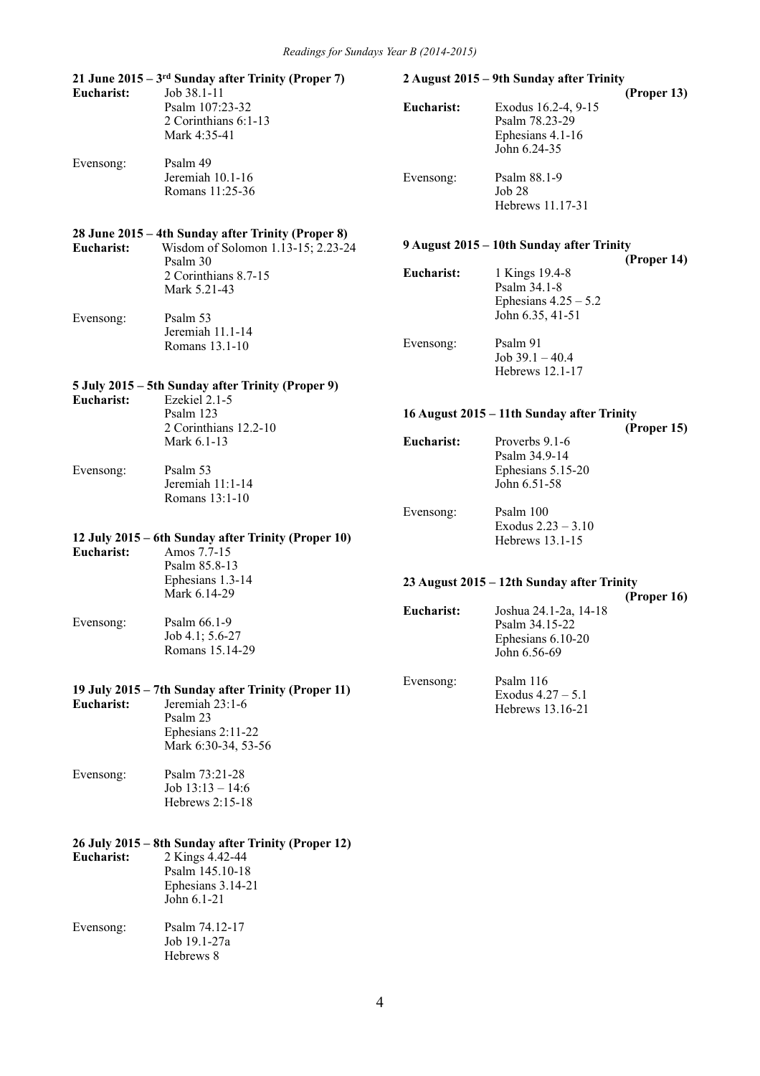| Eucharist:              | 21 June $2015 - 3$ <sup>rd</sup> Sunday after Trinity (Proper 7)<br>Job 38.1-11                                                                 |                   | 2 August 2015 – 9th Sunday after Trinity                                     | (Proper 13) |
|-------------------------|-------------------------------------------------------------------------------------------------------------------------------------------------|-------------------|------------------------------------------------------------------------------|-------------|
|                         | Psalm 107:23-32<br>2 Corinthians 6:1-13<br>Mark 4:35-41                                                                                         | Eucharist:        | Exodus 16.2-4, 9-15<br>Psalm 78.23-29<br>Ephesians 4.1-16<br>John 6.24-35    |             |
| Evensong:               | Psalm 49<br>Jeremiah 10.1-16<br>Romans 11:25-36                                                                                                 | Evensong:         | Psalm 88.1-9<br>Job 28<br>Hebrews 11.17-31                                   |             |
| <b>Eucharist:</b>       | 28 June 2015 – 4th Sunday after Trinity (Proper 8)<br>Wisdom of Solomon 1.13-15; 2.23-24                                                        |                   | 9 August 2015 – 10th Sunday after Trinity                                    |             |
|                         | Psalm 30<br>2 Corinthians 8.7-15<br>Mark 5.21-43                                                                                                | Eucharist:        | 1 Kings 19.4-8<br>Psalm 34.1-8<br>Ephesians $4.25 - 5.2$<br>John 6.35, 41-51 | (Proper 14) |
| Evensong:               | Psalm 53<br>Jeremiah 11.1-14<br>Romans 13.1-10                                                                                                  | Evensong:         | Psalm 91<br>Job $39.1 - 40.4$<br>Hebrews 12.1-17                             |             |
|                         | 5 July 2015 – 5th Sunday after Trinity (Proper 9)                                                                                               |                   |                                                                              |             |
| Eucharist:              | Ezekiel 2.1-5<br>Psalm 123<br>2 Corinthians 12.2-10                                                                                             |                   | 16 August 2015 - 11th Sunday after Trinity                                   |             |
|                         | Mark 6.1-13                                                                                                                                     | Eucharist:        | Proverbs 9.1-6<br>Psalm 34.9-14                                              | (Proper 15) |
| Evensong:               | Psalm 53<br>Jeremiah 11:1-14<br>Romans 13:1-10                                                                                                  |                   | Ephesians 5.15-20<br>John 6.51-58                                            |             |
| Eucharist:              | 12 July 2015 – 6th Sunday after Trinity (Proper 10)<br>Amos 7.7-15<br>Psalm 85.8-13                                                             | Evensong:         | Psalm 100<br>Exodus $2.23 - 3.10$<br>Hebrews 13.1-15                         |             |
|                         | Ephesians 1.3-14<br>Mark 6.14-29                                                                                                                |                   | 23 August 2015 - 12th Sunday after Trinity                                   | (Proper 16) |
| Evensong:               | Psalm 66.1-9<br>Job 4.1; 5.6-27<br>Romans 15.14-29                                                                                              | <b>Eucharist:</b> | Joshua 24.1-2a, 14-18<br>Psalm 34.15-22<br>Ephesians 6.10-20<br>John 6.56-69 |             |
| Eucharist:              | 19 July 2015 – 7th Sunday after Trinity (Proper 11)<br>Jeremiah $23:1-6$<br>Psalm 23<br>Ephesians 2:11-22<br>Mark 6:30-34, 53-56                | Evensong:         | Psalm 116<br>Exodus $4.27 - 5.1$<br>Hebrews 13.16-21                         |             |
| Evensong:               | Psalm 73:21-28<br>Job $13:13 - 14:6$<br>Hebrews 2:15-18                                                                                         |                   |                                                                              |             |
| Eucharist:<br>Evensong: | 26 July 2015 – 8th Sunday after Trinity (Proper 12)<br>2 Kings 4.42-44<br>Psalm 145.10-18<br>Ephesians 3.14-21<br>John 6.1-21<br>Psalm 74.12-17 |                   |                                                                              |             |
|                         | Job 19.1-27a<br>Hebrews 8                                                                                                                       |                   |                                                                              |             |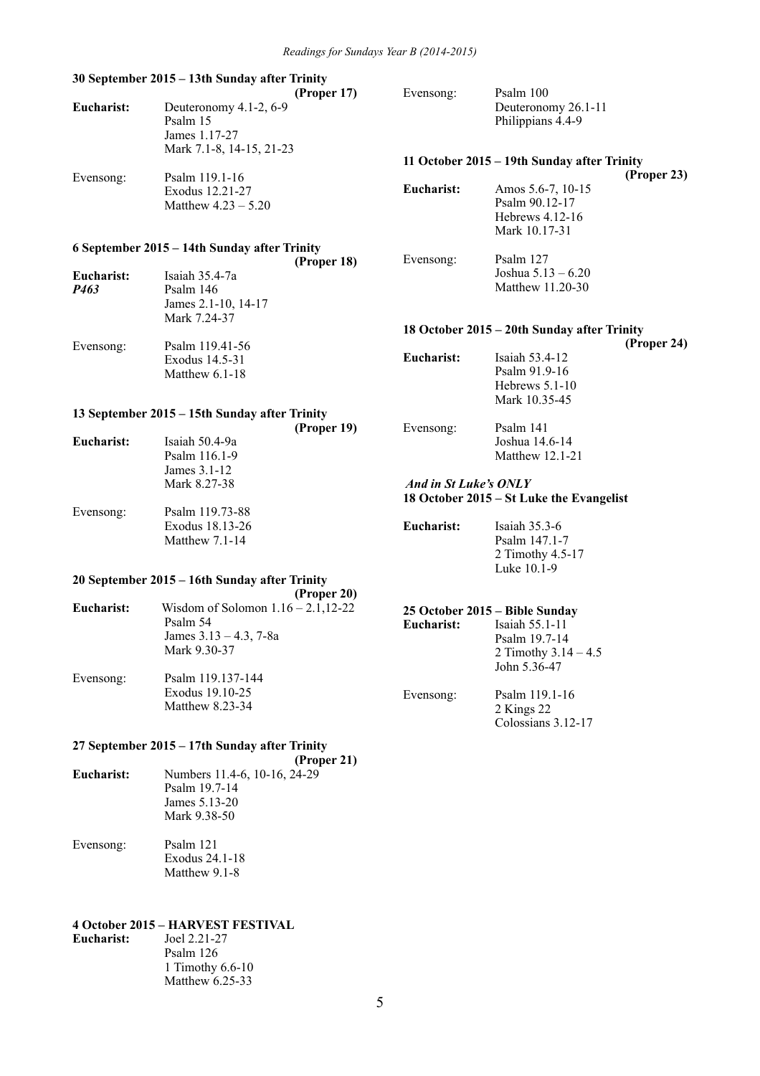#### **30 September 2015 – 13th Sunday after Trinity (Proper 17) Eucharist:** Deuteronomy 4.1-2, 6-9 Psalm 15 James 1.17-27 Mark 7.1-8, 14-15, 21-23 Evensong: Psalm 119.1-16 Exodus 12.21-27 Matthew 4.23 – 5.20 **6 September 2015 – 14th Sunday after Trinity (Proper 18) Eucharist:** Isaiah 35.4-7a *P463* Psalm 146 James 2.1-10, 14-17 Mark 7.24-37 Evensong: Psalm 119.41-56 Exodus 14.5-31 Matthew 6.1-18 **13 September 2015 – 15th Sunday after Trinity (Proper 19) Eucharist:** Isaiah 50.4-9a Psalm 116.1-9 James 3.1-12 Mark 8.27-38 Evensong: Psalm 119.73-88 Exodus 18.13-26 Matthew 7.1-14 **20 September 2015 – 16th Sunday after Trinity (Proper 20) Eucharist:** Wisdom of Solomon 1.16 – 2.1,12-22 Psalm 54 James 3.13 – 4.3, 7-8a Mark 9.30-37 Evensong: Psalm 119.137-144 Exodus 19.10-25 Matthew 8.23-34 Evensong: Psalm 100 Deuteronomy 26.1-11 Philippians 4.4-9 **11 October 2015 – 19th Sunday after Trinity (Proper 23) Eucharist:** Amos 5.6-7, 10-15 Psalm 90.12-17 Hebrews 4.12-16 Mark 10.17-31 Evensong: Psalm 127 Joshua 5.13 – 6.20 Matthew 11.20-30 **18 October 2015 – 20th Sunday after Trinity (Proper 24) Eucharist:** Isaiah 53.4-12 Psalm 91.9-16 Hebrews 5.1-10 Mark 10.35-45 Evensong: Psalm 141 Joshua 14.6-14 Matthew 12.1-21  *And in St Luke's ONLY* **18 October 2015 – St Luke the Evangelist Eucharist:** Isaiah 35.3-6 Psalm 147.1-7 2 Timothy 4.5-17 Luke 10.1-9 **25 October 2015 – Bible Sunday Eucharist:** Isaiah 55.1-11 Psalm 19.7-14 2 Timothy 3.14 – 4.5 John 5.36-47 Evensong: Psalm 119.1-16 2 Kings 22 Colossians 3.12-17

#### **27 September 2015 – 17th Sunday after Trinity (Proper 21)**

| 110pt1 21                    |
|------------------------------|
| Numbers 11.4-6, 10-16, 24-29 |
| Psalm 19.7-14                |
| James 5.13-20                |
| Mark 9.38-50                 |
| Psalm 121                    |
|                              |

# Exodus 24.1-18 Matthew 9.1-8

# **4 October 2015 – HARVEST FESTIVAL**

| Joel 2.21-27       |
|--------------------|
| Psalm 126          |
| 1 Timothy $6.6-10$ |
| Matthew $6.25-33$  |
|                    |